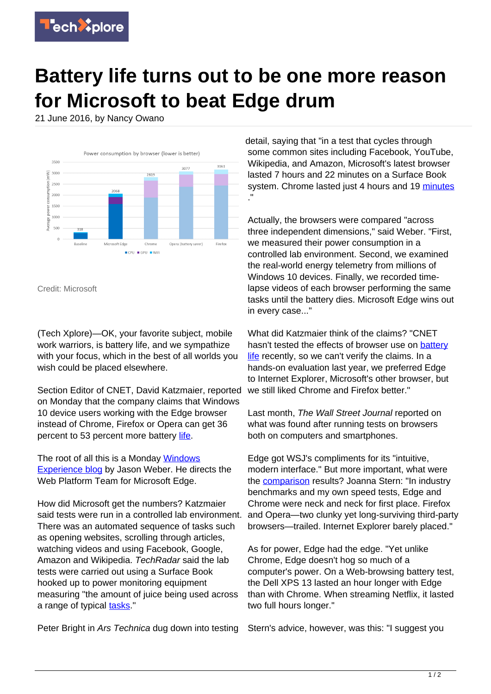

## **Battery life turns out to be one more reason for Microsoft to beat Edge drum**

21 June 2016, by Nancy Owano



Credit: Microsoft

(Tech Xplore)—OK, your favorite subject, mobile work warriors, is battery life, and we sympathize with your focus, which in the best of all worlds you wish could be placed elsewhere.

Section Editor of CNET, David Katzmaier, reported on Monday that the company claims that Windows 10 device users working with the Edge browser instead of Chrome, Firefox or Opera can get 36 percent to 53 percent more battery [life](http://www.cnet.com/news/microsoft-edge-saves-power-versus-chrome-says-microsoft/#ftag=CAD590a51e).

The root of all this is a Monday [Windows](https://blogs.windows.com/windowsexperience/2016/06/20/more-battery-with-edge/) [Experience blog](https://blogs.windows.com/windowsexperience/2016/06/20/more-battery-with-edge/) by Jason Weber. He directs the Web Platform Team for Microsoft Edge.

How did Microsoft get the numbers? Katzmaier said tests were run in a controlled lab environment. There was an automated sequence of tasks such as opening websites, scrolling through articles, watching videos and using Facebook, Google, Amazon and Wikipedia. TechRadar said the lab tests were carried out using a Surface Book hooked up to power monitoring equipment measuring "the amount of juice being used across a range of typical [tasks.](http://www.techradar.com/news/internet/microsoft-shows-edge-is-the-best-web-browser-for-long-battery-life-1323696)"

Peter Bright in Ars Technica dug down into testing

detail, saying that "in a test that cycles through some common sites including Facebook, YouTube, Wikipedia, and Amazon, Microsoft's latest browser lasted 7 hours and 22 minutes on a Surface Book system. Chrome lasted just 4 hours and 19 [minutes](http://arstechnica.com/information-technology/2016/06/microsoft-claims-edge-can-offer-70-percent-better-battery-life-than-chrome/) ."

Actually, the browsers were compared "across three independent dimensions," said Weber. "First, we measured their power consumption in a controlled lab environment. Second, we examined the real-world energy telemetry from millions of Windows 10 devices. Finally, we recorded timelapse videos of each browser performing the same tasks until the battery dies. Microsoft Edge wins out in every case..."

What did Katzmaier think of the claims? "CNET hasn't tested the effects of browser use on [battery](https://techxplore.com/tags/battery+life/) [life](https://techxplore.com/tags/battery+life/) recently, so we can't verify the claims. In a hands-on evaluation last year, we preferred Edge to Internet Explorer, Microsoft's other browser, but we still liked Chrome and Firefox better."

Last month, The Wall Street Journal reported on what was found after running tests on browsers both on computers and smartphones.

Edge got WSJ's compliments for its "intuitive, modern interface." But more important, what were the [comparison](http://www.wsj.com/articles/find-the-best-web-browser-for-your-devices-a-review-of-chrome-safari-and-edge-1462297625) results? Joanna Stern: "In industry benchmarks and my own speed tests, Edge and Chrome were neck and neck for first place. Firefox and Opera—two clunky yet long-surviving third-party browsers—trailed. Internet Explorer barely placed."

As for power, Edge had the edge. "Yet unlike Chrome, Edge doesn't hog so much of a computer's power. On a Web-browsing battery test, the Dell XPS 13 lasted an hour longer with Edge than with Chrome. When streaming Netflix, it lasted two full hours longer."

Stern's advice, however, was this: "I suggest you